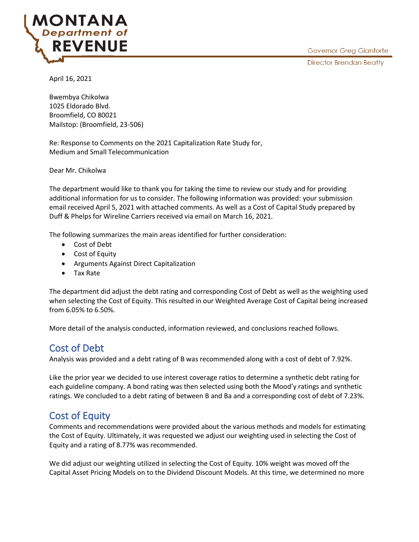

April 16, 2021

Bwembya Chikolwa 1025 Eldorado Blvd. Broomfield, CO 80021 Mailstop: (Broomfield, 23-506)

Re: Response to Comments on the 2021 Capitalization Rate Study for, Medium and Small Telecommunication

Dear Mr. Chikolwa

The department would like to thank you for taking the time to review our study and for providing additional information for us to consider. The following information was provided: your submission email received April 5, 2021 with attached comments. As well as a Cost of Capital Study prepared by Duff & Phelps for Wireline Carriers received via email on March 16, 2021.

The following summarizes the main areas identified for further consideration:

- Cost of Debt
- Cost of Equity
- Arguments Against Direct Capitalization
- Tax Rate

The department did adjust the debt rating and corresponding Cost of Debt as well as the weighting used when selecting the Cost of Equity. This resulted in our Weighted Average Cost of Capital being increased from 6.05% to 6.50%.

More detail of the analysis conducted, information reviewed, and conclusions reached follows.

# Cost of Debt

Analysis was provided and a debt rating of B was recommended along with a cost of debt of 7.92%.

Like the prior year we decided to use interest coverage ratios to determine a synthetic debt rating for each guideline company. A bond rating was then selected using both the Mood'y ratings and synthetic ratings. We concluded to a debt rating of between B and Ba and a corresponding cost of debt of 7.23%.

# Cost of Equity

Comments and recommendations were provided about the various methods and models for estimating the Cost of Equity. Ultimately, it was requested we adjust our weighting used in selecting the Cost of Equity and a rating of 8.77% was recommended.

We did adjust our weighting utilized in selecting the Cost of Equity. 10% weight was moved off the Capital Asset Pricing Models on to the Dividend Discount Models. At this time, we determined no more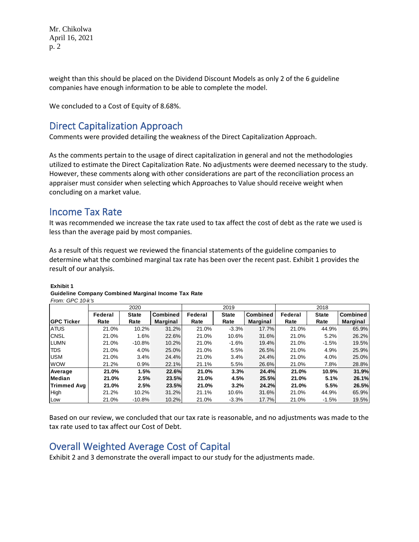Mr. Chikolwa April 16, 2021 p. 2

weight than this should be placed on the Dividend Discount Models as only 2 of the 6 guideline companies have enough information to be able to complete the model.

We concluded to a Cost of Equity of 8.68%.

## Direct Capitalization Approach

Comments were provided detailing the weakness of the Direct Capitalization Approach.

As the comments pertain to the usage of direct capitalization in general and not the methodologies utilized to estimate the Direct Capitalization Rate. No adjustments were deemed necessary to the study. However, these comments along with other considerations are part of the reconciliation process an appraiser must consider when selecting which Approaches to Value should receive weight when concluding on a market value.

## Income Tax Rate

It was recommended we increase the tax rate used to tax affect the cost of debt as the rate we used is less than the average paid by most companies.

As a result of this request we reviewed the financial statements of the guideline companies to determine what the combined marginal tax rate has been over the recent past. Exhibit 1 provides the result of our analysis.

|                    | 2020    |              |                 | 2019    |              |                 | 2018    |              |                 |
|--------------------|---------|--------------|-----------------|---------|--------------|-----------------|---------|--------------|-----------------|
|                    | Federal | <b>State</b> | <b>Combined</b> | Federal | <b>State</b> | <b>Combined</b> | Federal | <b>State</b> | <b>Combined</b> |
| <b>GPC Ticker</b>  | Rate    | Rate         | <b>Marginal</b> | Rate    | Rate         | Marginal        | Rate    | Rate         | Marginal        |
| <b>ATUS</b>        | 21.0%   | 10.2%        | 31.2%           | 21.0%   | $-3.3%$      | 17.7%           | 21.0%   | 44.9%        | 65.9%           |
| <b>CNSL</b>        | 21.0%   | 1.6%         | 22.6%           | 21.0%   | 10.6%        | 31.6%           | 21.0%   | 5.2%         | 26.2%           |
| <b>LUMN</b>        | 21.0%   | $-10.8%$     | 10.2%           | 21.0%   | $-1.6%$      | 19.4%           | 21.0%   | $-1.5%$      | 19.5%           |
| <b>TDS</b>         | 21.0%   | 4.0%         | 25.0%           | 21.0%   | 5.5%         | 26.5%           | 21.0%   | 4.9%         | 25.9%           |
| <b>USM</b>         | 21.0%   | 3.4%         | 24.4%           | 21.0%   | 3.4%         | 24.4%           | 21.0%   | 4.0%         | 25.0%           |
| <b>WOW</b>         | 21.2%   | 0.9%         | 22.1%           | 21.1%   | 5.5%         | 26.6%           | 21.0%   | 7.8%         | 28.8%           |
| Average            | 21.0%   | 1.5%         | 22.6%           | 21.0%   | 3.3%         | 24.4%           | 21.0%   | 10.9%        | 31.9%           |
| Median             | 21.0%   | 2.5%         | 23.5%           | 21.0%   | 4.5%         | 25.5%           | 21.0%   | 5.1%         | 26.1%           |
| <b>Trimmed Avg</b> | 21.0%   | 2.5%         | 23.5%           | 21.0%   | 3.2%         | 24.2%           | 21.0%   | 5.5%         | 26.5%           |
| <b>High</b>        | 21.2%   | 10.2%        | 31.2%           | 21.1%   | 10.6%        | 31.6%           | 21.0%   | 44.9%        | 65.9%           |
| Low                | 21.0%   | $-10.8%$     | 10.2%           | 21.0%   | $-3.3%$      | 17.7%           | 21.0%   | $-1.5%$      | 19.5%           |

#### **Exhibit 1**

#### **Guideline Company Combined Marginal Income Tax Rate** *From: GPC 10-k's*

Based on our review, we concluded that our tax rate is reasonable, and no adjustments was made to the tax rate used to tax affect our Cost of Debt.

# Overall Weighted Average Cost of Capital

Exhibit 2 and 3 demonstrate the overall impact to our study for the adjustments made.